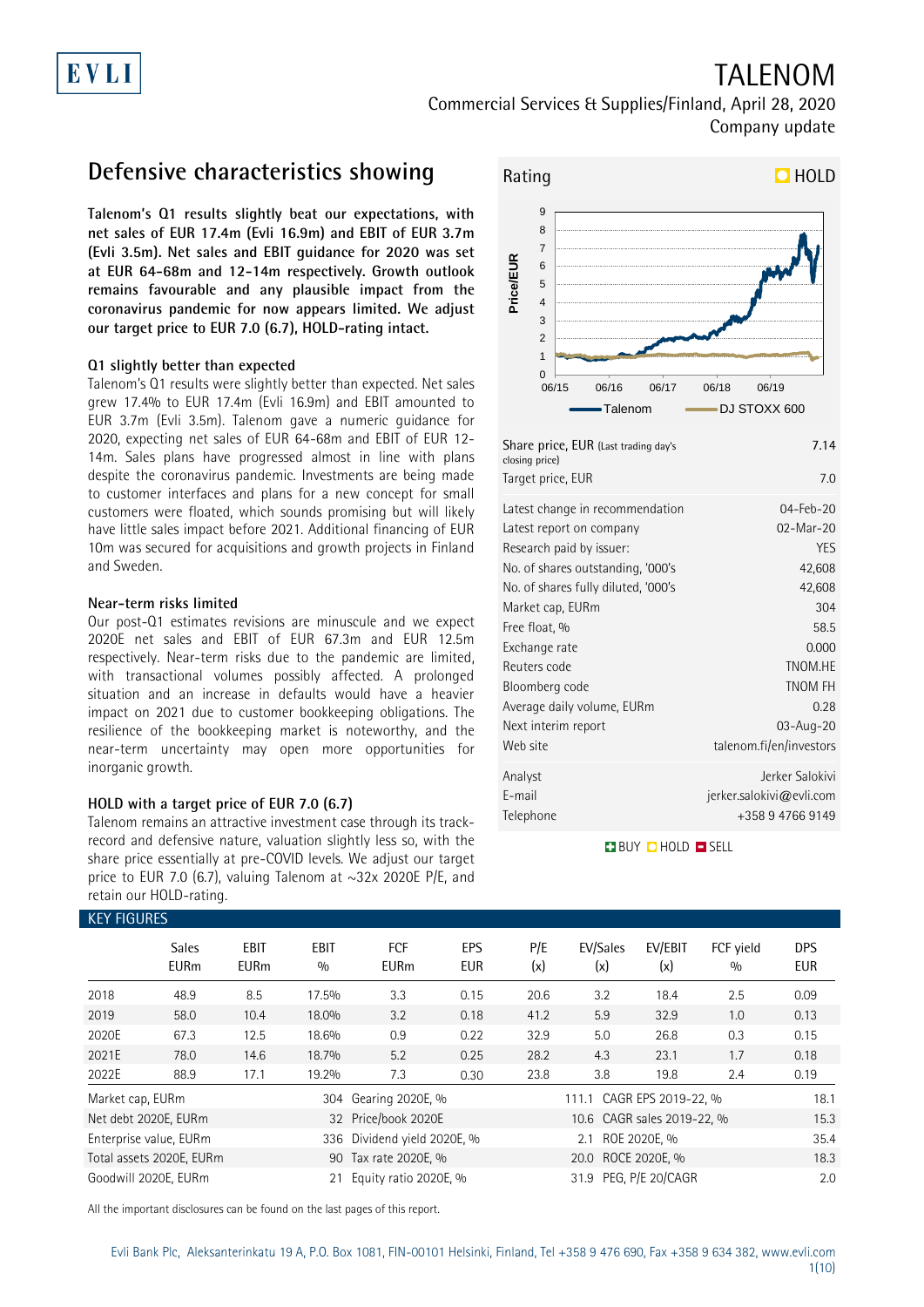# TALENOM

Commercial Services & Supplies/Finland, April 28, 2020 Company update

### **Defensive characteristics showing**

**Talenom's Q1 results slightly beat our expectations, with net sales of EUR 17.4m (Evli 16.9m) and EBIT of EUR 3.7m (Evli 3.5m). Net sales and EBIT guidance for 2020 was set at EUR 64-68m and 12-14m respectively. Growth outlook remains favourable and any plausible impact from the coronavirus pandemic for now appears limited. We adjust our target price to EUR 7.0 (6.7), HOLD-rating intact.**

### **Q1 slightly better than expected**

Talenom's Q1 results were slightly better than expected. Net sales grew 17.4% to EUR 17.4m (Evli 16.9m) and EBIT amounted to EUR 3.7m (Evli 3.5m). Talenom gave a numeric guidance for 2020, expecting net sales of EUR 64-68m and EBIT of EUR 12- 14m. Sales plans have progressed almost in line with plans despite the coronavirus pandemic. Investments are being made to customer interfaces and plans for a new concept for small customers were floated, which sounds promising but will likely have little sales impact before 2021. Additional financing of EUR 10m was secured for acquisitions and growth projects in Finland and Sweden.

### **Near-term risks limited**

Our post-Q1 estimates revisions are minuscule and we expect 2020E net sales and EBIT of EUR 67.3m and EUR 12.5m respectively. Near-term risks due to the pandemic are limited, with transactional volumes possibly affected. A prolonged situation and an increase in defaults would have a heavier impact on 2021 due to customer bookkeeping obligations. The resilience of the bookkeeping market is noteworthy, and the near-term uncertainty may open more opportunities for inorganic growth.

### **HOLD with a target price of EUR 7.0 (6.7)**

Talenom remains an attractive investment case through its trackrecord and defensive nature, valuation slightly less so, with the share price essentially at pre-COVID levels. We adjust our target price to EUR 7.0 (6.7), valuing Talenom at  $\sim$ 32x 2020E P/E, and retain our HOLD-rating.



Telephone +358 9 4766 9149

## **BUY QHOLD SELL**

E-mail jerker.salokivi@evli.com

| <b>KEY FIGURES</b> |                             |                            |                    |                             |                   |            |                            |                  |                  |                          |
|--------------------|-----------------------------|----------------------------|--------------------|-----------------------------|-------------------|------------|----------------------------|------------------|------------------|--------------------------|
|                    | <b>Sales</b><br><b>EURm</b> | <b>EBIT</b><br><b>EURm</b> | <b>EBIT</b><br>0/0 | <b>FCF</b><br><b>EURm</b>   | EPS<br><b>EUR</b> | P/E<br>(x) | EV/Sales<br>(x)            | EV/EBIT<br>(x)   | FCF yield<br>0/0 | <b>DPS</b><br><b>EUR</b> |
| 2018               | 48.9                        | 8.5                        | 17.5%              | 3.3                         | 0.15              | 20.6       | 3.2                        | 18.4             | 2.5              | 0.09                     |
| 2019               | 58.0                        | 10.4                       | 18.0%              | 3.2                         | 0.18              | 41.2       | 5.9                        | 32.9             | 1.0              | 0.13                     |
| 2020E              | 67.3                        | 12.5                       | 18.6%              | 0.9                         | 0.22              | 32.9       | 5.0                        | 26.8             | 0.3              | 0.15                     |
| 2021E              | 78.0                        | 14.6                       | 18.7%              | 5.2                         | 0.25              | 28.2       | 4.3                        | 23.1             | 1.7              | 0.18                     |
| 2022E              | 88.9                        | 17.1                       | 19.2%              | 7.3                         | 0.30              | 23.8       | 3.8                        | 19.8             | 2.4              | 0.19                     |
| Market cap, EURm   |                             |                            | 304                | Gearing 2020E, %            |                   |            | 111.1 CAGR EPS 2019-22, %  |                  |                  | 18.1                     |
|                    | Net debt 2020E, EURm        |                            |                    | 32 Price/book 2020E         |                   |            | 10.6 CAGR sales 2019-22, % |                  |                  | 15.3                     |
|                    | Enterprise value, EURm      |                            |                    | 336 Dividend yield 2020E, % |                   |            | 2.1                        | ROE 2020E, %     |                  | 35.4                     |
|                    | Total assets 2020E, EURm    |                            |                    | 90 Tax rate 2020E, %        |                   |            | 20.0 ROCE 2020E, %         |                  |                  | 18.3                     |
|                    | Goodwill 2020E, EURm        |                            | 21                 | Equity ratio 2020E, %       |                   |            | 31.9                       | PEG, P/E 20/CAGR |                  | 2.0                      |

All the important disclosures can be found on the last pages of this report.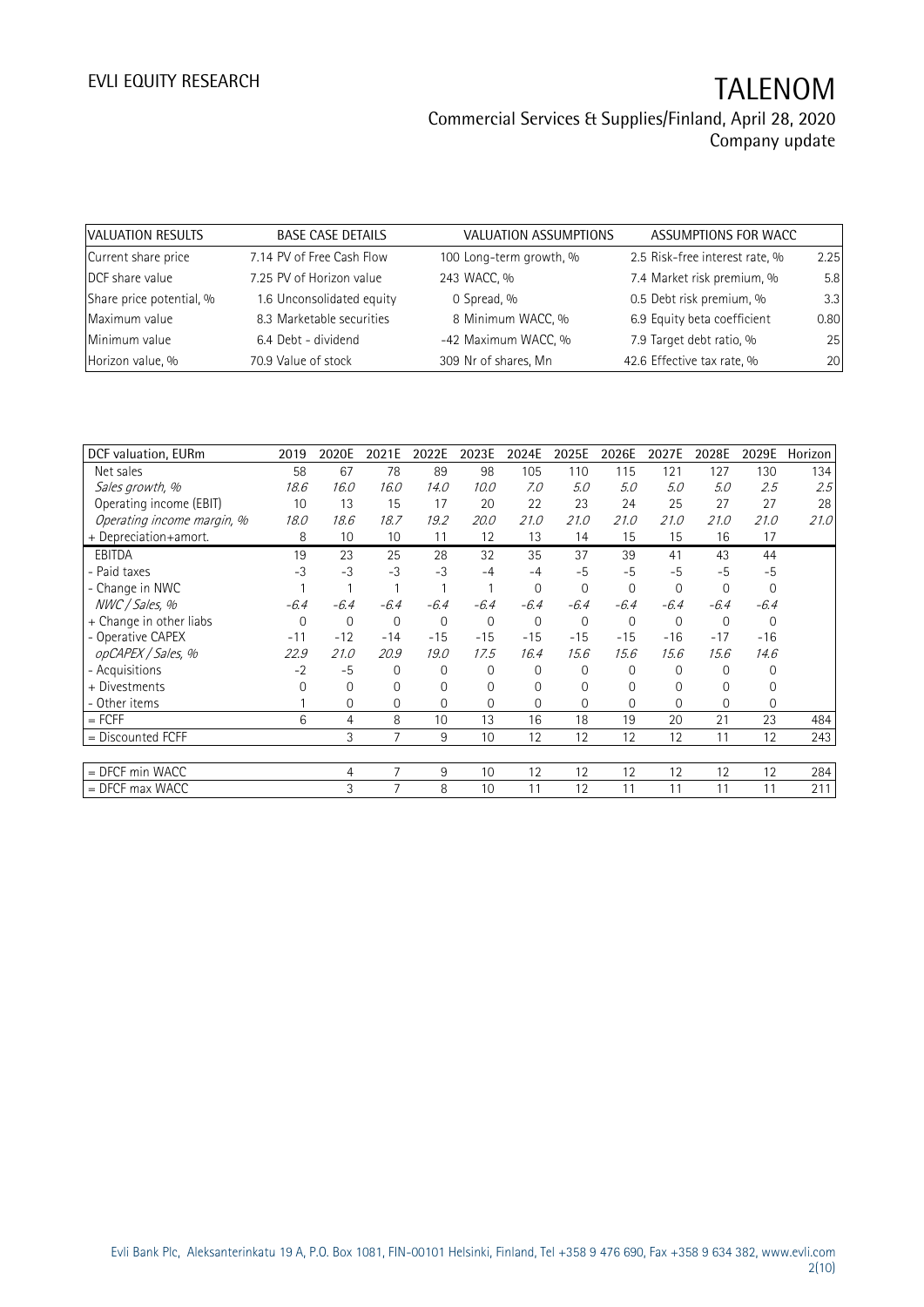| VALUATION RESULTS        | <b>BASE CASE DETAILS</b>  | VALUATION ASSUMPTIONS   | ASSUMPTIONS FOR WACC           |      |
|--------------------------|---------------------------|-------------------------|--------------------------------|------|
| Current share price      | 7.14 PV of Free Cash Flow | 100 Long-term growth, % | 2.5 Risk-free interest rate, % | 2.25 |
| DCF share value          | 7.25 PV of Horizon value  | 243 WACC, %             | 7.4 Market risk premium, %     | 5.8  |
| Share price potential, % | 1.6 Unconsolidated equity | 0 Spread, %             | 0.5 Debt risk premium, %       | 3.3  |
| Maximum value            | 8.3 Marketable securities | 8 Minimum WACC, %       | 6.9 Equity beta coefficient    | 0.80 |
| Minimum value            | 6.4 Debt - dividend       | -42 Maximum WACC, %     | 7.9 Target debt ratio, %       | 25   |
| Horizon value, %         | 70.9 Value of stock       | 309 Nr of shares, Mn    | 42.6 Effective tax rate, %     | 20   |

| DCF valuation, EURm        | 2019     | 2020E       | 2021E          | 2022E          | 2023E       | 2024E  | 2025E       | 2026E        | 2027E    | 2028E       | 2029E          | Horizon |
|----------------------------|----------|-------------|----------------|----------------|-------------|--------|-------------|--------------|----------|-------------|----------------|---------|
| Net sales                  | 58       | 67          | 78             | 89             | 98          | 105    | 110         | 115          | 121      | 127         | 130            | 134     |
| Sales growth, %            | 18.6     | 16.0        | 16.0           | 14.0           | 10.0        | 7.0    | 5.0         | 5.0          | 5.0      | 5.0         | 2.5            | 2.5     |
| Operating income (EBIT)    | 10       | 13          | 15             | 17             | 20          | 22     | 23          | 24           | 25       | 27          | 27             | 28      |
| Operating income margin, % | 18.0     | 18.6        | 18.7           | 19.2           | 20.0        | 21.0   | 21.0        | 21.0         | 21.0     | 21.0        | 21.0           | 21.0    |
| + Depreciation+amort.      | 8        | 10          | 10             | 11             | 12          | 13     | 14          | 15           | 15       | 16          | 17             |         |
| <b>EBITDA</b>              | 19       | 23          | 25             | 28             | 32          | 35     | 37          | 39           | 41       | 43          | 44             |         |
| - Paid taxes               | $-3$     | $-3$        | $-3$           | $-3$           | $-4$        | $-4$   | $-5$        | $-5$         | $-5$     | $-5$        | $-5$           |         |
| - Change in NWC            |          |             |                |                |             | 0      | $\mathbf 0$ | $\mathbf{0}$ | 0        | $\mathbf 0$ | $\overline{0}$ |         |
| NWC / Sales, %             | $-6.4$   | $-6.4$      | $-6.4$         | $-6.4$         | $-6.4$      | $-6.4$ | $-6.4$      | $-6.4$       | $-6.4$   | $-6.4$      | $-6.4$         |         |
| + Change in other liabs    | 0        | $\mathbf 0$ | 0              | $\overline{0}$ | $\mathbf 0$ | 0      | $\mathbf 0$ | $\mathbf 0$  | 0        | $\mathbf 0$ | 0              |         |
| - Operative CAPEX          | $-11$    | $-12$       | $-14$          | $-15$          | $-15$       | $-15$  | $-15$       | $-15$        | $-16$    | $-17$       | $-16$          |         |
| opCAPEX / Sales, %         | 22.9     | 21.0        | 20.9           | 19.0           | 17.5        | 16.4   | 15.6        | 15.6         | 15.6     | 15.6        | 14.6           |         |
| - Acquisitions             | $-2$     | $-5$        | 0              | $\Omega$       | 0           | 0      | $\Omega$    | $\Omega$     | 0        | $\Omega$    | 0              |         |
| + Divestments              | $\Omega$ | 0           | O              | $\Omega$       | $\Omega$    | 0      | $\Omega$    | $\Omega$     |          | 0           | 0              |         |
| - Other items              |          | 0           | 0              | $\Omega$       | 0           | 0      | $\Omega$    | 0            | $\Omega$ | $\Omega$    | 0              |         |
| $=$ FCFF                   | 6        | 4           | 8              | 10             | 13          | 16     | 18          | 19           | 20       | 21          | 23             | 484     |
| = Discounted FCFF          |          | 3           | $\overline{7}$ | 9              | 10          | 12     | 12          | 12           | 12       | 11          | 12             | 243     |
|                            |          |             |                |                |             |        |             |              |          |             |                |         |
| $=$ DFCF min WACC          |          | 4           | 7              | 9              | 10          | 12     | 12          | 12           | 12       | 12          | 12             | 284     |
| $=$ DFCF max WACC          |          | 3           | 7              | 8              | 10          | 11     | 12          | 11           | 11       | 11          | 11             | 211     |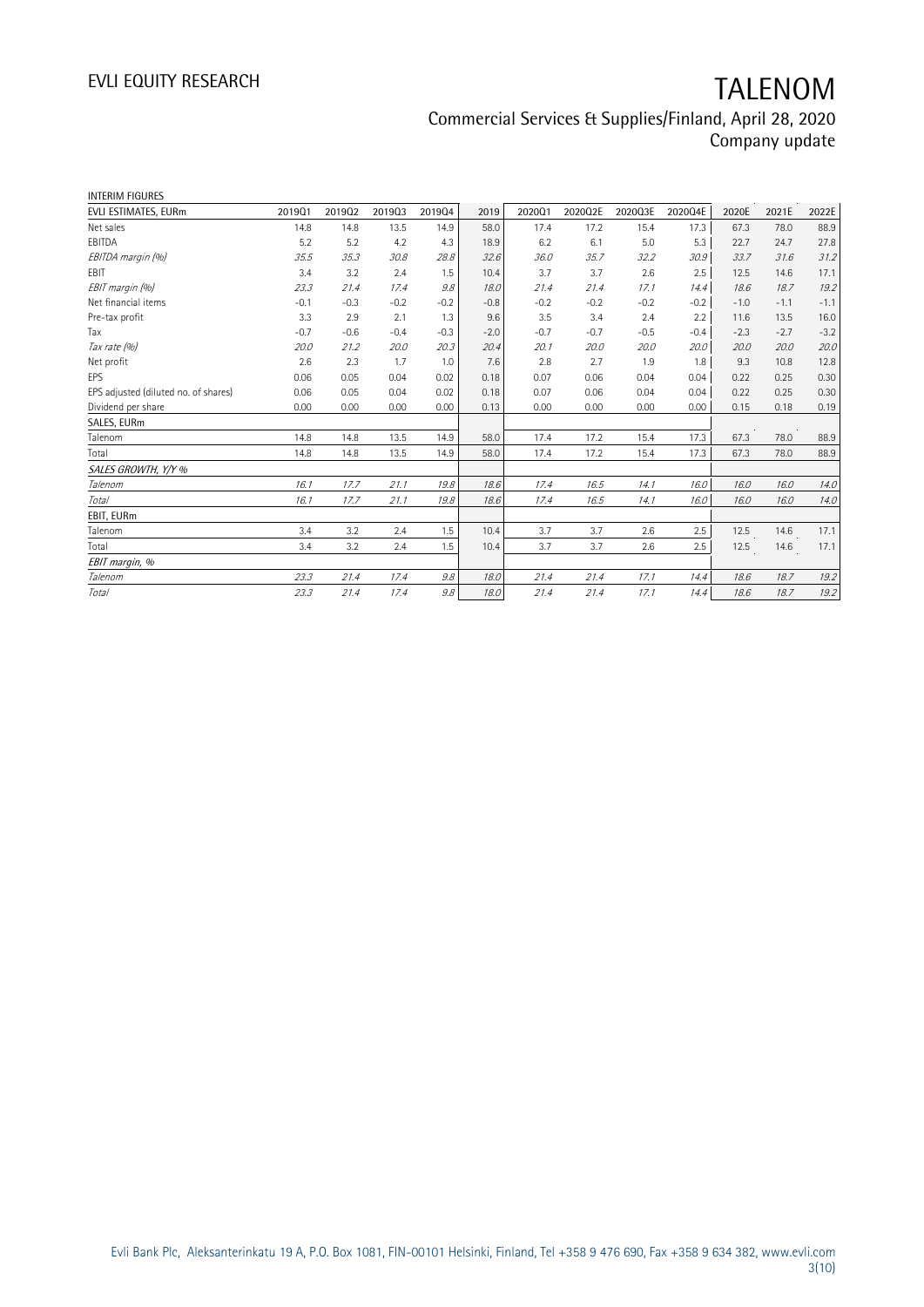# EVLI EQUITY RESEARCH TALENOM

| INTERIM FIGURES                      |        |        |        |        |        |        |         |         |         |        |        |        |
|--------------------------------------|--------|--------|--------|--------|--------|--------|---------|---------|---------|--------|--------|--------|
| EVLI ESTIMATES, EURm                 | 201901 | 201902 | 201903 | 201904 | 2019   | 202001 | 2020Q2E | 2020Q3E | 2020Q4E | 2020E  | 2021E  | 2022E  |
| Net sales                            | 14.8   | 14.8   | 13.5   | 14.9   | 58.0   | 17.4   | 17.2    | 15.4    | 17.3    | 67.3   | 78.0   | 88.9   |
| EBITDA                               | 5.2    | 5.2    | 4.2    | 4.3    | 18.9   | 6.2    | 6.1     | 5.0     | 5.3     | 22.7   | 24.7   | 27.8   |
| EBITDA margin (%)                    | 35.5   | 35.3   | 30.8   | 28.8   | 32.6   | 36.0   | 35.7    | 32.2    | 30.9    | .33.7  | 31.6   | 31.2   |
| EBIT                                 | 3.4    | 3.2    | 2.4    | 1.5    | 10.4   | 3.7    | 3.7     | 2.6     | 2.5     | 12.5   | 14.6   | 17.1   |
| EBIT margin (%)                      | 23.3   | 21.4   | 17.4   | 9.8    | 18.0   | 21.4   | 21.4    | 17.1    | 14.4    | 18.6   | 18.7   | 19.2   |
| Net financial items                  | $-0.1$ | $-0.3$ | $-0.2$ | $-0.2$ | $-0.8$ | $-0.2$ | $-0.2$  | $-0.2$  | $-0.2$  | $-1.0$ | $-1.1$ | $-1.1$ |
| Pre-tax profit                       | 3.3    | 2.9    | 2.1    | 1.3    | 9.6    | 3.5    | 3.4     | 2.4     | 2.2     | 11.6   | 13.5   | 16.0   |
| Tax                                  | $-0.7$ | $-0.6$ | $-0.4$ | $-0.3$ | $-2.0$ | $-0.7$ | $-0.7$  | $-0.5$  | $-0.4$  | $-2.3$ | $-2.7$ | $-3.2$ |
| Tax rate (%)                         | 20.0   | 21.2   | 20.0   | 20.3   | 20.4   | 20.1   | 20.0    | 20.0    | 20.0    | 20.0   | 20.0   | 20.0   |
| Net profit                           | 2.6    | 2.3    | 1.7    | 1.0    | 7.6    | 2.8    | 2.7     | 1.9     | 1.8     | 9.3    | 10.8   | 12.8   |
| EPS                                  | 0.06   | 0.05   | 0.04   | 0.02   | 0.18   | 0.07   | 0.06    | 0.04    | 0.04    | 0.22   | 0.25   | 0.30   |
| EPS adjusted (diluted no. of shares) | 0.06   | 0.05   | 0.04   | 0.02   | 0.18   | 0.07   | 0.06    | 0.04    | 0.04    | 0.22   | 0.25   | 0.30   |
| Dividend per share                   | 0.00   | 0.00   | 0.00   | 0.00   | 0.13   | 0.00   | 0.00    | 0.00    | 0.00    | 0.15   | 0.18   | 0.19   |
| SALES, EURm                          |        |        |        |        |        |        |         |         |         |        |        |        |
| Talenom                              | 14.8   | 14.8   | 13.5   | 14.9   | 58.0   | 17.4   | 17.2    | 15.4    | 17.3    | 67.3   | 78.0   | 88.9   |
| Total                                | 14.8   | 14.8   | 13.5   | 14.9   | 58.0   | 17.4   | 17.2    | 15.4    | 17.3    | 67.3   | 78.0   | 88.9   |
| SALES GROWTH, Y/Y %                  |        |        |        |        |        |        |         |         |         |        |        |        |
| Talenom                              | 16.1   | 17.7   | 21.1   | 19.8   | 18.6   | 17.4   | 16.5    | 14.1    | 16.0    | 16.0   | 16.0   | 14.0   |
| Total                                | 16.1   | 17.7   | 21.1   | 19.8   | 18.6   | 17.4   | 16.5    | 14.1    | 16.0    | 16.0   | 16.0   | 14.0   |
| EBIT, EURm                           |        |        |        |        |        |        |         |         |         |        |        |        |
| Talenom                              | 3.4    | 3.2    | 2.4    | 1.5    | 10.4   | 3.7    | 3.7     | 2.6     | 2.5     | 12.5   | 14.6   | 17.1   |
| Total                                | 3.4    | 3.2    | 2.4    | 1.5    | 10.4   | 3.7    | 3.7     | 2.6     | 2.5     | 12.5   | 14.6   | 17.1   |
| EBIT margin, %                       |        |        |        |        |        |        |         |         |         |        |        |        |
| Talenom                              | 23.3   | 21.4   | 17.4   | 9.8    | 18.0   | 21.4   | 21.4    | 17.1    | 14.4    | 18.6   | 18.7   | 19.2   |
| Total                                | 23.3   | 21.4   | 17.4   | 9.8    | 18.0   | 21.4   | 21.4    | 17.1    | 14.4    | 18.6   | 18.7   | 19.2   |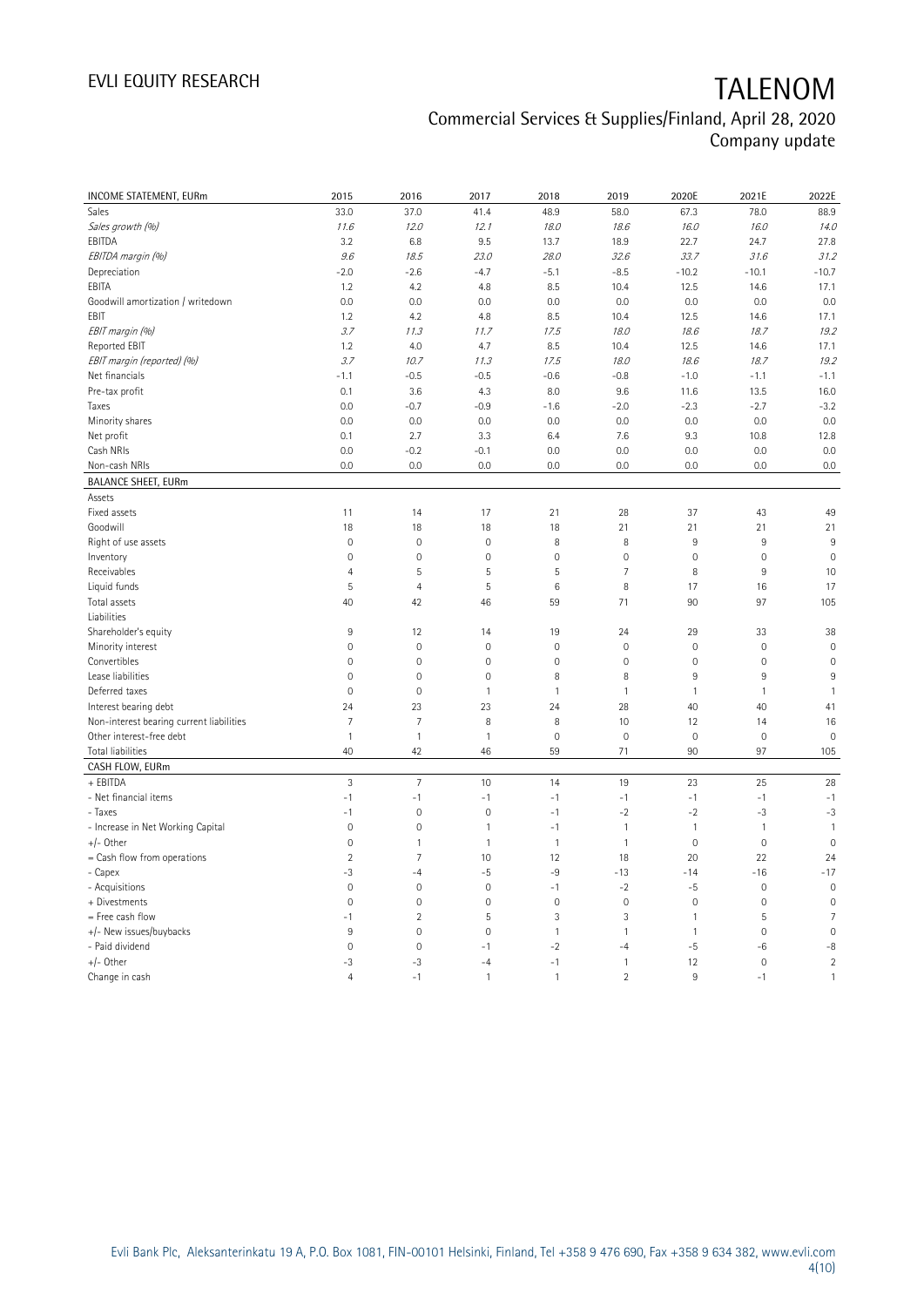# EVLI EQUITY RESEARCH TALENOM

| INCOME STATEMENT, EURm                   | 2015                | 2016                | 2017                | 2018         | 2019           | 2020E               | 2021E          | 2022E          |
|------------------------------------------|---------------------|---------------------|---------------------|--------------|----------------|---------------------|----------------|----------------|
| Sales                                    | 33.0                | 37.0                | 41.4                | 48.9         | 58.0           | 67.3                | 78.0           | 88.9           |
| Sales growth (%)                         | 11.6                | 12.0                | 12.1                | 18.0         | 18.6           | 16.0                | 16.0           | 14.0           |
| EBITDA                                   | 3.2                 | 6.8                 | 9.5                 | 13.7         | 18.9           | 22.7                | 24.7           | 27.8           |
| EBITDA margin (%)                        | 9.6                 | 18.5                | 23.0                | 28.0         | 32.6           | 33.7                | 31.6           | 31.2           |
| Depreciation                             | $-2.0$              | $-2.6$              | $-4.7$              | $-5.1$       | $-8.5$         | $-10.2$             | $-10.1$        | $-10.7$        |
| EBITA                                    | 1.2                 | 4.2                 | 4.8                 | 8.5          | 10.4           | 12.5                | 14.6           | 17.1           |
| Goodwill amortization / writedown        | 0.0                 | 0.0                 | 0.0                 | 0.0          | 0.0            | 0.0                 | 0.0            | 0.0            |
| EBIT                                     | 1.2                 | 4.2                 | 4.8                 | 8.5          | 10.4           | 12.5                | 14.6           | 17.1           |
| EBIT margin (%)                          | 3.7                 | 11.3                | 11.7                | 17.5         | 18.0           | 18.6                | 18.7           | 19.2           |
| <b>Reported EBIT</b>                     | 1.2                 | 4.0                 | 4.7                 | 8.5          | 10.4           | 12.5                | 14.6           | 17.1           |
| EBIT margin (reported) (%)               | 3.7                 | 10.7                | 11.3                | 17.5         | 18.0           | 18.6                | 18.7           | 19.2           |
| Net financials                           | $-1.1$              | $-0.5$              | $-0.5$              | $-0.6$       | $-0.8$         | $-1.0$              | $-1.1$         | $-1.1$         |
| Pre-tax profit                           | 0.1                 | 3.6                 | 4.3                 | 8.0          | 9.6            | 11.6                | 13.5           | 16.0           |
|                                          | 0.0                 | $-0.7$              | $-0.9$              |              | $-2.0$         | $-2.3$              | $-2.7$         | $-3.2$         |
| Taxes                                    |                     |                     |                     | $-1.6$       |                |                     |                | 0.0            |
| Minority shares                          | 0.0                 | 0.0                 | 0.0                 | 0.0          | 0.0            | 0.0                 | 0.0            |                |
| Net profit                               | 0.1                 | 2.7                 | 3.3                 | 6.4          | 7.6            | 9.3                 | 10.8           | 12.8           |
| Cash NRIs                                | 0.0                 | $-0.2$              | $-0.1$              | 0.0          | 0.0            | 0.0                 | 0.0            | 0.0            |
| Non-cash NRIs                            | 0.0                 | 0.0                 | 0.0                 | 0.0          | 0.0            | 0.0                 | 0.0            | 0.0            |
| <b>BALANCE SHEET, EURm</b>               |                     |                     |                     |              |                |                     |                |                |
| Assets                                   |                     |                     |                     |              |                |                     |                |                |
| Fixed assets                             | 11                  | 14                  | 17                  | 21           | 28             | 37                  | 43             | 49             |
| Goodwill                                 | 18                  | 18                  | 18                  | 18           | 21             | 21                  | 21             | 21             |
| Right of use assets                      | $\mathsf{O}\xspace$ | $\mathbf 0$         | $\mathbf 0$         | 8            | 8              | 9                   | 9              | 9              |
| Inventory                                | $\mathbb O$         | $\mathbf 0$         | $\mathbf 0$         | $\mathbf 0$  | $\mathbf 0$    | $\mathsf{O}\xspace$ | $\mathbf 0$    | $\mathbf 0$    |
| Receivables                              | $\overline{4}$      | 5                   | 5                   | 5            | $\overline{7}$ | 8                   | $\overline{9}$ | 10             |
| Liquid funds                             | 5                   | $\overline{4}$      | 5                   | 6            | 8              | 17                  | 16             | 17             |
| Total assets                             | 40                  | 42                  | 46                  | 59           | 71             | 90                  | 97             | 105            |
| Liabilities                              |                     |                     |                     |              |                |                     |                |                |
| Shareholder's equity                     | 9                   | 12                  | 14                  | 19           | 24             | 29                  | 33             | 38             |
| Minority interest                        | $\mathbb O$         | $\mathbf 0$         | $\mathbf 0$         | $\mathbf 0$  | $\mathbf 0$    | $\mathbb O$         | $\mathbf 0$    | $\mathbf 0$    |
| Convertibles                             | 0                   | $\mathbf 0$         | $\mathbf 0$         | $\mathbf 0$  | $\mathbf 0$    | $\mathsf{O}\xspace$ | $\mathbf 0$    | $\mathbf 0$    |
| Lease liabilities                        | 0                   | $\mathsf{O}\xspace$ | $\mathbb O$         | 8            | 8              | 9                   | 9              | 9              |
| Deferred taxes                           | $\mathbf 0$         | $\mathbf 0$         | $\mathbf{1}$        | $\mathbf{1}$ | $\mathbf{1}$   | $\mathbf{1}$        | $\mathbf{1}$   | $\mathbf{1}$   |
| Interest bearing debt                    | 24                  | 23                  | 23                  | 24           | 28             | 40                  | 40             | 41             |
| Non-interest bearing current liabilities | $\overline{7}$      | $\overline{7}$      | 8                   | 8            | 10             | 12                  | 14             | 16             |
| Other interest-free debt                 | $\mathbf{1}$        | $\mathbf{1}$        | $\mathbf{1}$        | $\mathbf 0$  | $\mathbf 0$    | $\mathsf{O}\xspace$ | $\mathbf 0$    | $\mathbf 0$    |
| Total liabilities                        | 40                  | 42                  | 46                  | 59           | 71             | 90                  | 97             | 105            |
| CASH FLOW, EURm                          |                     |                     |                     |              |                |                     |                |                |
| + EBITDA                                 | $\sqrt{3}$          | $\overline{7}$      | 10                  | 14           | 19             | 23                  | 25             | 28             |
| - Net financial items                    | $-1$                | $-1$                | $-1$                | $-1$         | $-1$           | $-1$                | $-1$           | $-1$           |
| - Taxes                                  | $-1$                | $\mathbf 0$         | $\mathbf 0$         | $-1$         | $-2$           | $-2$                | $-3$           | $-3$           |
| - Increase in Net Working Capital        | $\mathsf{O}\xspace$ | $\mathbf 0$         | $\mathbf{1}$        | $-1$         | $\mathbf{1}$   | $\mathbf{1}$        | $\overline{1}$ | $\mathbf{1}$   |
| $+/-$ Other                              | $\mathbb O$         | $\mathbf{1}$        | $\mathbf{1}$        | $\mathbf{1}$ | $\mathbf{1}$   | $\mathsf{O}\xspace$ | $\mathbf 0$    | $\mathbf 0$    |
| $=$ Cash flow from operations            | $\overline{2}$      | $\overline{7}$      | 10                  | 12           | 18             | 20                  | 22             | 24             |
| - Capex                                  | -3                  | -4                  | $-5$                | $-9$         | $-13$          | $-14$               | $-16$          | $-17$          |
| - Acquisitions                           | $\mathbf{0}$        | $\mathbf 0$         | $\mathbf 0$         | $-1$         | $-2$           | $-5$                | $\mathbf 0$    | $\mathbf 0$    |
| + Divestments                            | $\mathsf{O}\xspace$ | $\mathbf 0$         | $\mathsf{O}\xspace$ | $\mathbf 0$  | $\mathbf 0$    | 0                   | $\mathbf 0$    | $\mathbf 0$    |
| = Free cash flow                         | $-1$                | $\overline{2}$      | 5                   | 3            | 3              | $\mathbf{1}$        | 5              | $\overline{7}$ |
| +/- New issues/buybacks                  | $9\,$               | $\mathbf 0$         | $\mathbf 0$         | $\mathbf{1}$ | $\mathbf{1}$   | $\mathbf{1}$        | $\mathbf 0$    | $\mathbf 0$    |
| - Paid dividend                          | $\mathsf{O}\xspace$ | $\mathbf 0$         | $-1$                | $-2$         | $-4$           | -5                  | -6             | $-8$           |
| $+/-$ Other                              | -3                  | $-3$                | $-4$                | $-1$         | $\mathbf{1}$   | 12                  | $\mathbf 0$    | $\overline{2}$ |
| Change in cash                           | $\overline{4}$      | $-1$                | 1                   | $\mathbf{1}$ | $\overline{2}$ | 9                   | $-1$           | $\mathbf{1}$   |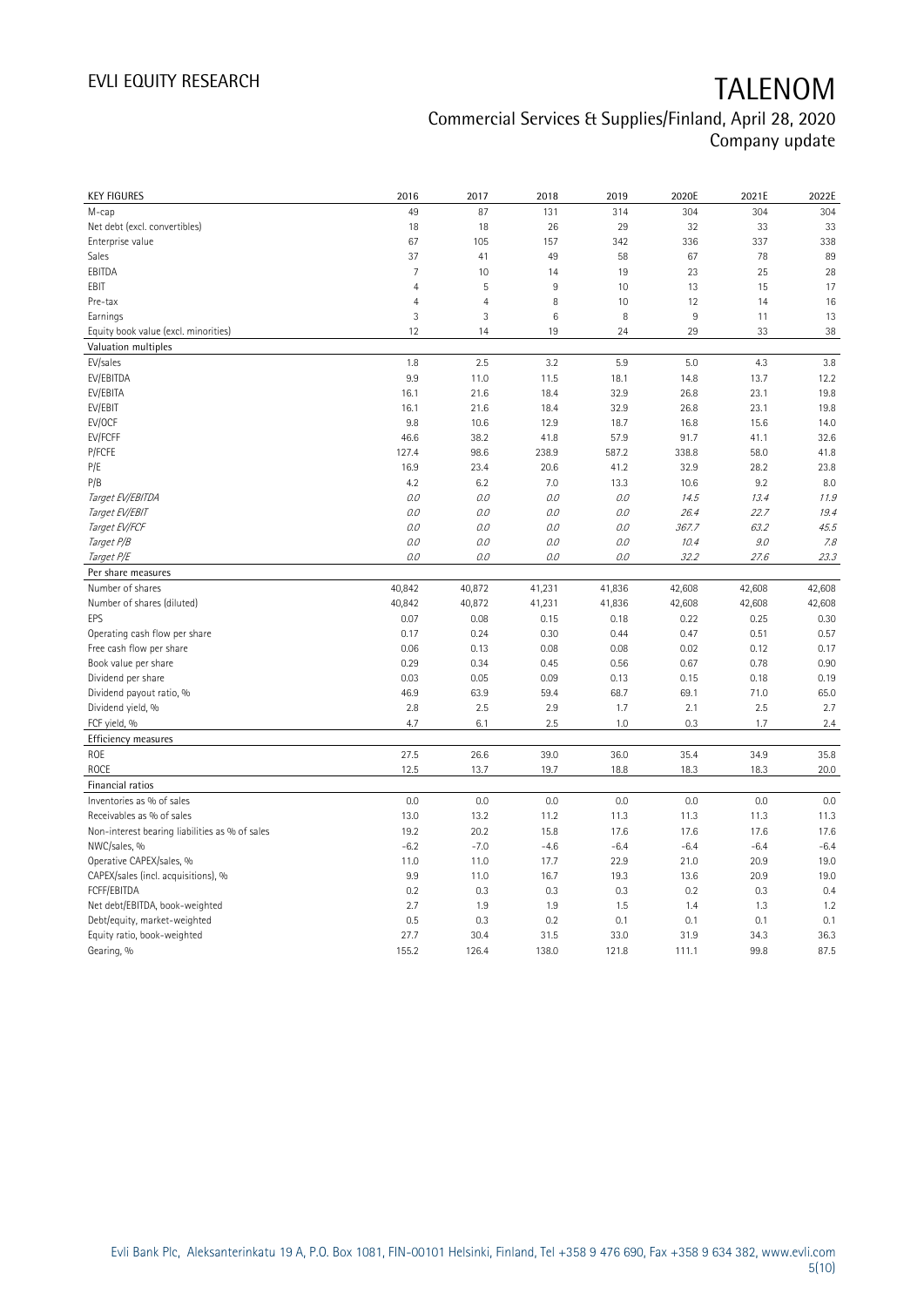# EVLI EQUITY RESEARCH TALENOM

| <b>KEY FIGURES</b>                                 | 2016           | 2017           | 2018         | 2019         | 2020E        | 2021E        | 2022E        |
|----------------------------------------------------|----------------|----------------|--------------|--------------|--------------|--------------|--------------|
| M-cap                                              | 49             | 87             | 131          | 314          | 304          | 304          | 304          |
| Net debt (excl. convertibles)                      | 18             | 18             | 26           | 29           | 32           | 33           | 33           |
| Enterprise value                                   | 67             | 105            | 157          | 342          | 336          | 337          | 338          |
| Sales                                              | 37             | 41             | 49           | 58           | 67           | 78           | 89           |
| EBITDA                                             | $\overline{7}$ | 10             | 14           | 19           | 23           | 25           | 28           |
| EBIT                                               | $\overline{4}$ | 5              | 9            | 10           | 13           | 15           | 17           |
| Pre-tax                                            | $\overline{4}$ | $\overline{4}$ | 8            | 10           | 12           | 14           | 16           |
| Earnings                                           | 3              | $\mathbf{3}$   | $\,6$        | 8            | $9\,$        | 11           | 13           |
| Equity book value (excl. minorities)               | 12             | 14             | 19           | 24           | 29           | 33           | 38           |
| Valuation multiples                                |                |                |              |              |              |              |              |
| EV/sales                                           | 1.8            | 2.5            | 3.2          | 5.9          | 5.0          | 4.3          | 3.8          |
| EV/EBITDA                                          | 9.9            | 11.0           | 11.5         | 18.1         | 14.8         | 13.7         | 12.2         |
| EV/EBITA                                           | 16.1           | 21.6           | 18.4         | 32.9         | 26.8         | 23.1         | 19.8         |
| EV/EBIT                                            | 16.1           | 21.6           | 18.4         | 32.9         | 26.8         | 23.1         | 19.8         |
| EV/OCF                                             | 9.8            | 10.6           | 12.9         | 18.7         | 16.8         | 15.6         | 14.0         |
| EV/FCFF                                            | 46.6           | 38.2           | 41.8         | 57.9         | 91.7         | 41.1         | 32.6         |
| P/FCFE                                             | 127.4          | 98.6           | 238.9        | 587.2        | 338.8        | 58.0         | 41.8         |
| P/E                                                | 16.9           | 23.4           | 20.6         | 41.2         | 32.9         | 28.2         | 23.8         |
| P/B                                                | 4.2            | 6.2            | 7.0          | 13.3         | 10.6         | 9.2          | 8.0          |
| Target EV/EBITDA                                   | O.O            | 0.0            | 0.0          | $O.O$        | 14.5         | 13.4         | 11.9         |
| Target EV/EBIT                                     | 0.0            | $O.O$          | 0.0          | O.O          | 26.4         | 22.7         | 19.4         |
| Target EV/FCF                                      | O.O            | $0.0$          | 0.0          | $O.O$        | 367.7        | 63.2         | 45.5         |
| Target P/B                                         | O.O            | 0.0            | 0.0          | 0.0          | 10.4         | 9.0          | 7.8          |
| Target P/E                                         | O.O            | 0.0            | 0.0          | 0.0          | 32.2         | 27.6         | 23.3         |
| Per share measures                                 |                |                |              |              |              |              |              |
| Number of shares                                   | 40,842         | 40,872         | 41,231       | 41,836       | 42,608       | 42,608       | 42,608       |
| Number of shares (diluted)                         | 40,842         | 40,872         | 41,231       | 41,836       | 42,608       | 42,608       | 42,608       |
| EPS                                                | 0.07           | 0.08           | 0.15         | 0.18         | 0.22         | 0.25         | 0.30         |
|                                                    |                |                |              |              |              |              |              |
|                                                    |                |                |              |              |              |              |              |
| Operating cash flow per share                      | 0.17           | 0.24           | 0.30         | 0.44         | 0.47         | 0.51<br>0.12 | 0.57         |
| Free cash flow per share                           | 0.06<br>0.29   | 0.13<br>0.34   | 0.08<br>0.45 | 0.08<br>0.56 | 0.02<br>0.67 | 0.78         | 0.17<br>0.90 |
| Book value per share<br>Dividend per share         | 0.03           | 0.05           | 0.09         | 0.13         | 0.15         | 0.18         | 0.19         |
|                                                    | 46.9           | 63.9           | 59.4         | 68.7         | 69.1         | 71.0         | 65.0         |
| Dividend payout ratio, %<br>Dividend yield, %      | 2.8            | 2.5            | 2.9          | 1.7          | 2.1          | 2.5          | 2.7          |
|                                                    | 4.7            | 6.1            | 2.5          | 1.0          | 0.3          | 1.7          | 2.4          |
| FCF yield, %                                       |                |                |              |              |              |              |              |
| Efficiency measures<br>ROE                         | 27.5           | 26.6           | 39.0         | 36.0         | 35.4         | 34.9         | 35.8         |
|                                                    |                |                |              |              |              |              |              |
| <b>ROCE</b>                                        | 12.5           | 13.7           | 19.7         | 18.8         | 18.3         | 18.3         | 20.0         |
| Financial ratios                                   |                |                |              |              |              |              |              |
| Inventories as % of sales                          | 0.0            | 0.0            | 0.0          | 0.0          | 0.0          | 0.0          | 0.0          |
| Receivables as % of sales                          | 13.0           | 13.2           | 11.2         | 11.3         | 11.3         | 11.3         | 11.3         |
| Non-interest bearing liabilities as % of sales     | 19.2           | 20.2           | 15.8         | 17.6         | 17.6         | 17.6         | 17.6         |
| NWC/sales, %                                       | $-6.2$         | $-7.0$         | $-4.6$       | $-6.4$       | $-6.4$       | $-6.4$       | $-6.4$       |
| Operative CAPEX/sales, %                           | 11.0           | 11.0           | 17.7         | 22.9         | 21.0         | 20.9         | 19.0         |
| CAPEX/sales (incl. acquisitions), %<br>FCFF/EBITDA | 9.9<br>0.2     | 11.0<br>0.3    | 16.7<br>0.3  | 19.3         | 13.6<br>0.2  | 20.9<br>0.3  | 19.0<br>0.4  |
|                                                    |                |                | 1.9          | 0.3          | 1.4          | 1.3          |              |
| Net debt/EBITDA, book-weighted                     | 2.7<br>0.5     | 1.9<br>0.3     | 0.2          | 1.5<br>0.1   | 0.1          | 0.1          | 1.2<br>0.1   |
| Debt/equity, market-weighted                       | 27.7           | 30.4           | 31.5         | 33.0         | 31.9         | 34.3         | 36.3         |
| Equity ratio, book-weighted<br>Gearing, %          | 155.2          | 126.4          | 138.0        | 121.8        | 111.1        | 99.8         | 87.5         |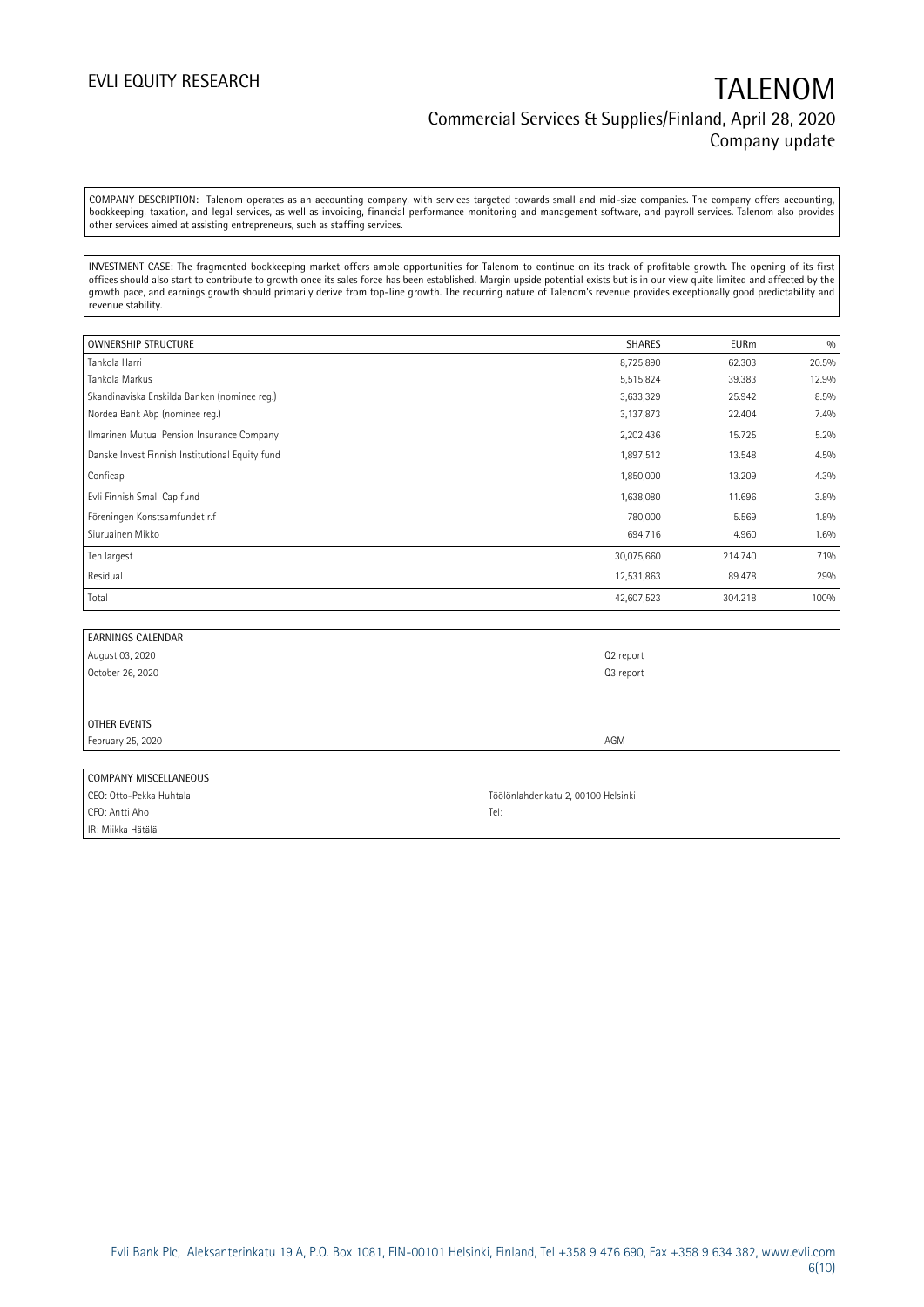COMPANY DESCRIPTION: Talenom operates as an accounting company, with services targeted towards small and mid-size companies. The company offers accounting, bookkeeping, taxation, and legal services, as well as invoicing, financial performance monitoring and management software, and payroll services. Talenom also provides other services aimed at assisting entrepreneurs, such as staffing services.

INVESTMENT CASE: The fragmented bookkeeping market offers ample opportunities for Talenom to continue on its track of profitable growth. The opening of its first offices should also start to contribute to growth once its sales force has been established. Margin upside potential exists but is in our view quite limited and affected by the growth pace, and earnings growth should primarily derive from top-line growth. The recurring nature of Talenom's revenue provides exceptionally good predictability and revenue stability.

| OWNERSHIP STRUCTURE                             | <b>SHARES</b> | <b>EURm</b> | 0/0   |
|-------------------------------------------------|---------------|-------------|-------|
| Tahkola Harri                                   | 8,725,890     | 62.303      | 20.5% |
| Tahkola Markus                                  | 5,515,824     | 39.383      | 12.9% |
| Skandinaviska Enskilda Banken (nominee reg.)    | 3,633,329     | 25.942      | 8.5%  |
| Nordea Bank Abp (nominee req.)                  | 3,137,873     | 22.404      | 7.4%  |
| Ilmarinen Mutual Pension Insurance Company      | 2,202,436     | 15.725      | 5.2%  |
| Danske Invest Finnish Institutional Equity fund | 1,897,512     | 13.548      | 4.5%  |
| Conficap                                        | 1,850,000     | 13.209      | 4.3%  |
| Evli Finnish Small Cap fund                     | 1,638,080     | 11.696      | 3.8%  |
| Föreningen Konstsamfundet r.f                   | 780,000       | 5.569       | 1.8%  |
| Siuruainen Mikko                                | 694,716       | 4.960       | 1.6%  |
| Ten largest                                     | 30,075,660    | 214.740     | 71%   |
| Residual                                        | 12,531,863    | 89.478      | 29%   |
| Total                                           | 42,607,523    | 304.218     | 100%  |

| <b>EARNINGS CALENDAR</b> |           |
|--------------------------|-----------|
| August 03, 2020          | Q2 report |
| October 26, 2020         | Q3 report |
|                          |           |
|                          |           |
| <b>OTHER EVENTS</b>      |           |
| February 25, 2020        | AGM       |
|                          |           |
| COMPANY MISCELLANEOUS    |           |
|                          |           |

| CEO: Otto-Pekka Huhtala | Töölönlahdenkatu 2, 00100 Helsinki |
|-------------------------|------------------------------------|
| CFO: Antti Aho          | Tel:                               |
| IR: Miikka Hätälä       |                                    |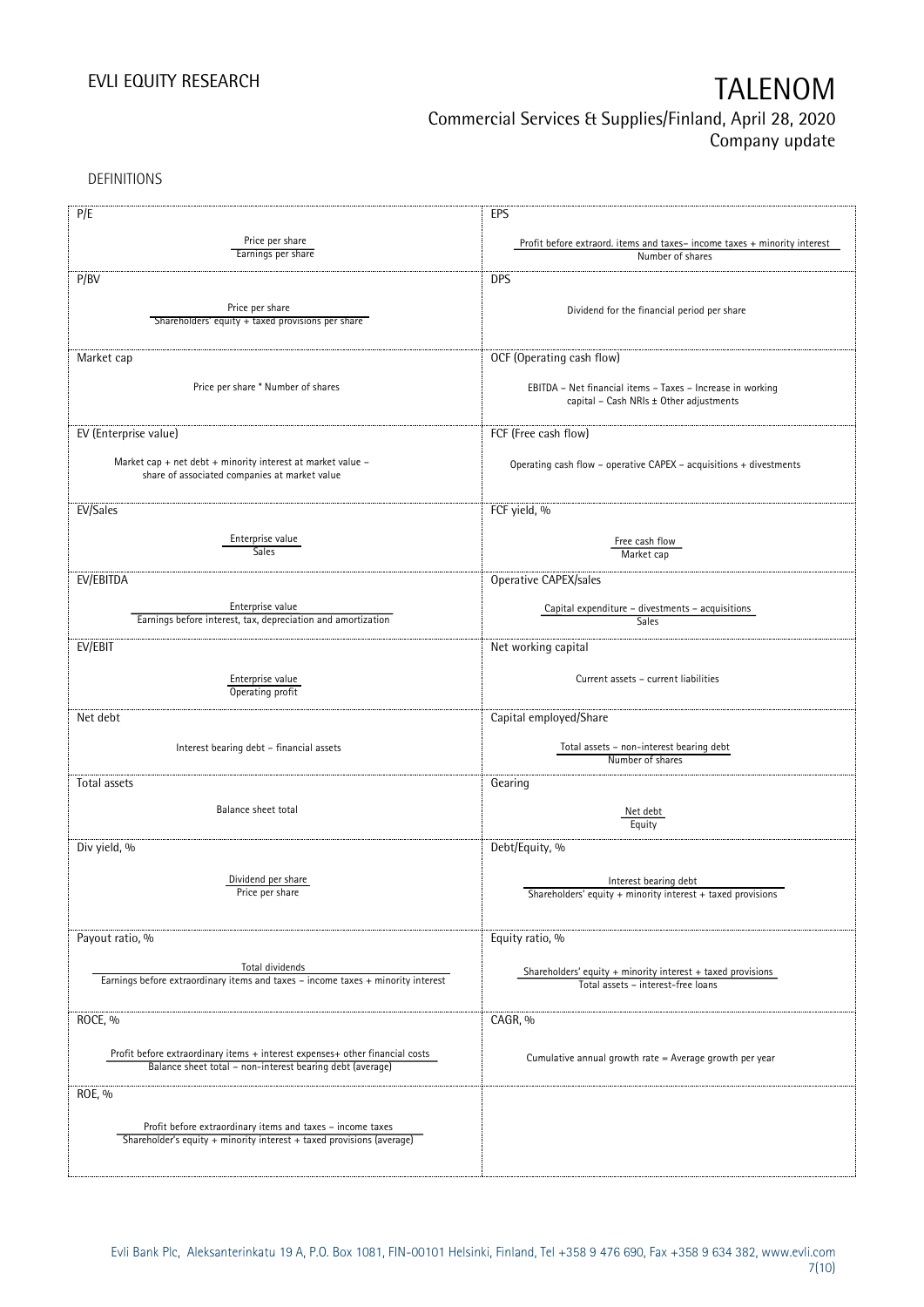DEFINITIONS

| P/E                                                                                                                                       | EPS                                                                      |
|-------------------------------------------------------------------------------------------------------------------------------------------|--------------------------------------------------------------------------|
| Price per share                                                                                                                           | Profit before extraord. items and taxes-income taxes + minority interest |
| Earnings per share                                                                                                                        | Number of shares                                                         |
|                                                                                                                                           |                                                                          |
| P/BV                                                                                                                                      | <b>DPS</b>                                                               |
| Price per share                                                                                                                           |                                                                          |
| Shareholders' equity + taxed provisions per share                                                                                         | Dividend for the financial period per share                              |
|                                                                                                                                           |                                                                          |
| Market cap                                                                                                                                | OCF (Operating cash flow)                                                |
|                                                                                                                                           |                                                                          |
| Price per share * Number of shares                                                                                                        | EBITDA - Net financial items - Taxes - Increase in working               |
|                                                                                                                                           | capital - Cash NRIs ± Other adjustments                                  |
|                                                                                                                                           |                                                                          |
| EV (Enterprise value)                                                                                                                     | FCF (Free cash flow)                                                     |
|                                                                                                                                           |                                                                          |
| Market cap + net debt + minority interest at market value -                                                                               | Operating cash flow - operative CAPEX - acquisitions + divestments       |
| share of associated companies at market value                                                                                             |                                                                          |
|                                                                                                                                           |                                                                          |
| EV/Sales                                                                                                                                  | FCF yield, %                                                             |
|                                                                                                                                           |                                                                          |
| Enterprise value                                                                                                                          | Free cash flow                                                           |
| <b>Sales</b>                                                                                                                              | Market cap                                                               |
|                                                                                                                                           |                                                                          |
| EV/EBITDA                                                                                                                                 | Operative CAPEX/sales                                                    |
|                                                                                                                                           |                                                                          |
| Enterprise value<br>Earnings before interest, tax, depreciation and amortization                                                          | Capital expenditure - divestments - acquisitions<br>Sales                |
|                                                                                                                                           |                                                                          |
| EV/EBIT                                                                                                                                   | Net working capital                                                      |
|                                                                                                                                           |                                                                          |
| Enterprise value                                                                                                                          | Current assets - current liabilities                                     |
| Operating profit                                                                                                                          |                                                                          |
| Net debt                                                                                                                                  | Capital employed/Share                                                   |
|                                                                                                                                           |                                                                          |
| Interest bearing debt - financial assets                                                                                                  | Total assets - non-interest bearing debt                                 |
|                                                                                                                                           | Number of shares                                                         |
| Total assets                                                                                                                              |                                                                          |
|                                                                                                                                           | Gearing                                                                  |
| Balance sheet total                                                                                                                       | Net debt                                                                 |
|                                                                                                                                           | Equity                                                                   |
|                                                                                                                                           |                                                                          |
| Div yield, %                                                                                                                              | Debt/Equity, %                                                           |
|                                                                                                                                           |                                                                          |
| Dividend per share<br>Price per share                                                                                                     | Interest bearing debt                                                    |
|                                                                                                                                           | Shareholders' equity + minority interest + taxed provisions              |
|                                                                                                                                           |                                                                          |
| Payout ratio, %                                                                                                                           | Equity ratio, %                                                          |
|                                                                                                                                           |                                                                          |
| Total dividends                                                                                                                           | Shareholders' equity $+$ minority interest $+$ taxed provisions          |
| Earnings before extraordinary items and taxes - income taxes + minority interest                                                          | Total assets - interest-free loans                                       |
|                                                                                                                                           |                                                                          |
| ROCE, %                                                                                                                                   | CAGR, %                                                                  |
|                                                                                                                                           |                                                                          |
|                                                                                                                                           |                                                                          |
| Profit before extraordinary items + interest expenses+ other financial costs<br>Balance sheet total - non-interest bearing debt (average) | Cumulative annual growth rate = Average growth per year                  |
|                                                                                                                                           |                                                                          |
| ROE, %                                                                                                                                    |                                                                          |
|                                                                                                                                           |                                                                          |
| Profit before extraordinary items and taxes - income taxes                                                                                |                                                                          |
| Shareholder's equity + minority interest + taxed provisions (average)                                                                     |                                                                          |
|                                                                                                                                           |                                                                          |
|                                                                                                                                           |                                                                          |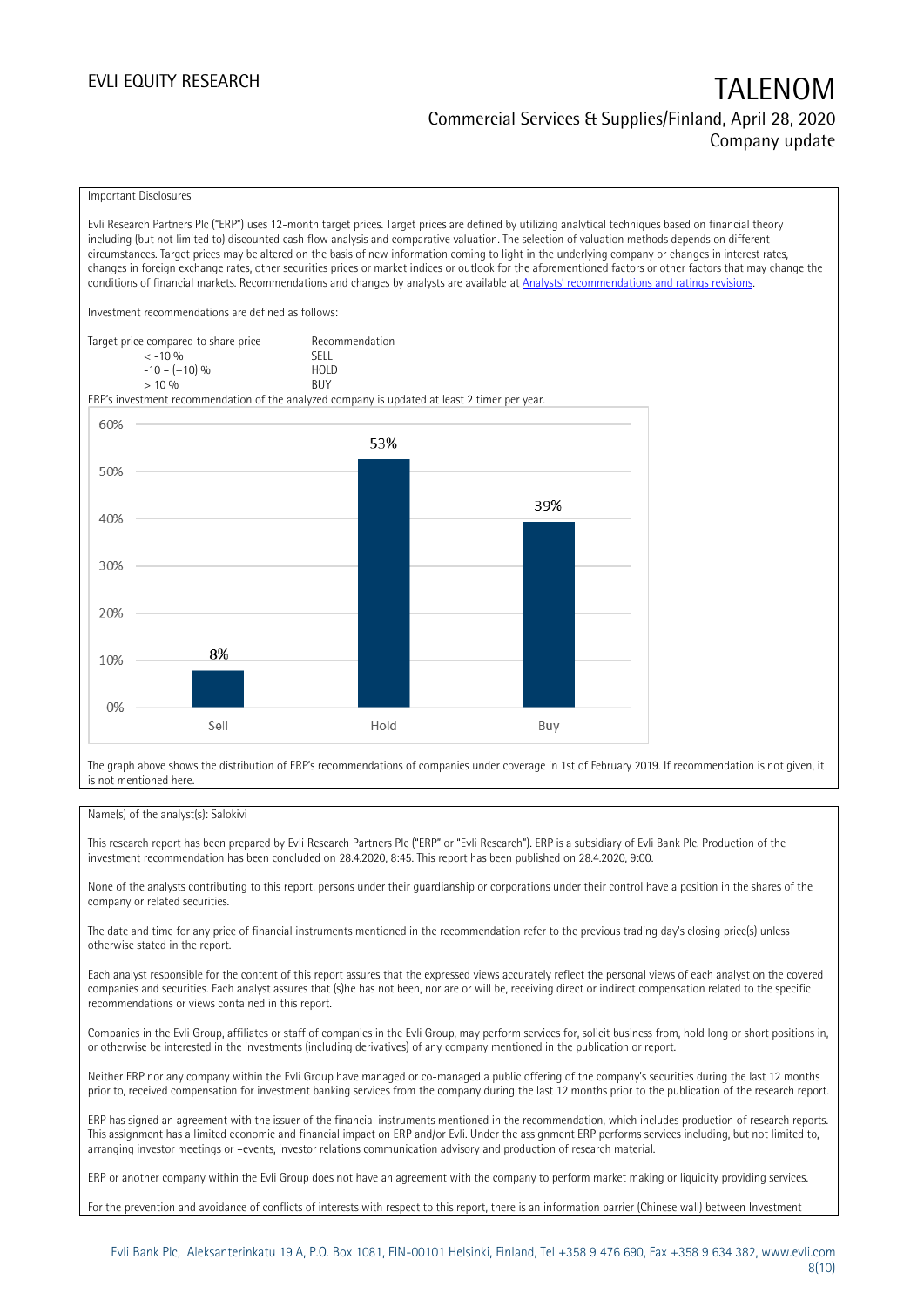### Important Disclosures

Evli Research Partners Plc ("ERP") uses 12-month target prices. Target prices are defined by utilizing analytical techniques based on financial theory including (but not limited to) discounted cash flow analysis and comparative valuation. The selection of valuation methods depends on different circumstances. Target prices may be altered on the basis of new information coming to light in the underlying company or changes in interest rates, changes in foreign exchange rates, other securities prices or market indices or outlook for the aforementioned factors or other factors that may change the conditions of financial markets. Recommendations and changes by analysts are available at [Analysts' recommendations and ratings revisions](https://research.evli.com/JasperAllModels.action?authParam=key;461&authParam=x;G3rNagWrtf7K&authType=3). Investment recommendations are defined as follows: Target price compared to share price Recommendation<br>CELL CALLO 06 < -10 % SELL  $-10 - (+10) \%$  HOL<br>  $> 10 \%$  BUY  $> 10\%$ ERP's investment recommendation of the analyzed company is updated at least 2 timer per year. 60% 53% 50% 39% 40% 30% 20% 8% 10%  $0%$ Hold Sell Buy

The graph above shows the distribution of ERP's recommendations of companies under coverage in 1st of February 2019. If recommendation is not given, it is not mentioned here.

### Name(s) of the analyst(s): Salokivi

This research report has been prepared by Evli Research Partners Plc ("ERP" or "Evli Research"). ERP is a subsidiary of Evli Bank Plc. Production of the investment recommendation has been concluded on 28.4.2020, 8:45. This report has been published on 28.4.2020, 9:00.

None of the analysts contributing to this report, persons under their guardianship or corporations under their control have a position in the shares of the company or related securities.

The date and time for any price of financial instruments mentioned in the recommendation refer to the previous trading day's closing price(s) unless otherwise stated in the report.

Each analyst responsible for the content of this report assures that the expressed views accurately reflect the personal views of each analyst on the covered companies and securities. Each analyst assures that (s)he has not been, nor are or will be, receiving direct or indirect compensation related to the specific recommendations or views contained in this report.

Companies in the Evli Group, affiliates or staff of companies in the Evli Group, may perform services for, solicit business from, hold long or short positions in, or otherwise be interested in the investments (including derivatives) of any company mentioned in the publication or report.

Neither ERP nor any company within the Evli Group have managed or co-managed a public offering of the company's securities during the last 12 months prior to, received compensation for investment banking services from the company during the last 12 months prior to the publication of the research report.

ERP has signed an agreement with the issuer of the financial instruments mentioned in the recommendation, which includes production of research reports. This assignment has a limited economic and financial impact on ERP and/or Evli. Under the assignment ERP performs services including, but not limited to, arranging investor meetings or –events, investor relations communication advisory and production of research material.

ERP or another company within the Evli Group does not have an agreement with the company to perform market making or liquidity providing services.

For the prevention and avoidance of conflicts of interests with respect to this report, there is an information barrier (Chinese wall) between Investment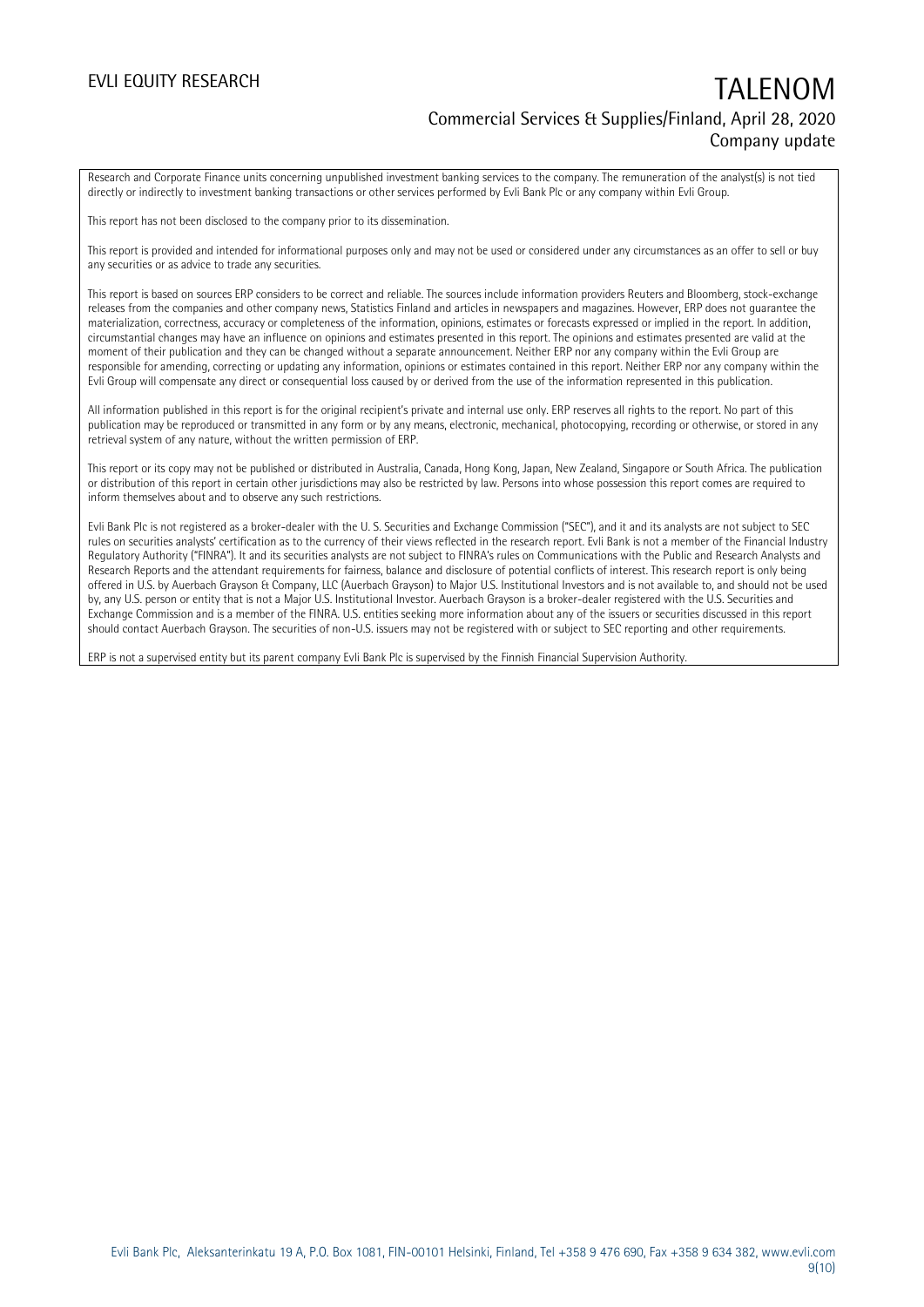Research and Corporate Finance units concerning unpublished investment banking services to the company. The remuneration of the analyst(s) is not tied directly or indirectly to investment banking transactions or other services performed by Evli Bank Plc or any company within Evli Group.

This report has not been disclosed to the company prior to its dissemination.

This report is provided and intended for informational purposes only and may not be used or considered under any circumstances as an offer to sell or buy any securities or as advice to trade any securities.

This report is based on sources ERP considers to be correct and reliable. The sources include information providers Reuters and Bloomberg, stock-exchange releases from the companies and other company news, Statistics Finland and articles in newspapers and magazines. However, ERP does not guarantee the materialization, correctness, accuracy or completeness of the information, opinions, estimates or forecasts expressed or implied in the report. In addition, circumstantial changes may have an influence on opinions and estimates presented in this report. The opinions and estimates presented are valid at the moment of their publication and they can be changed without a separate announcement. Neither ERP nor any company within the Evli Group are responsible for amending, correcting or updating any information, opinions or estimates contained in this report. Neither ERP nor any company within the Evli Group will compensate any direct or consequential loss caused by or derived from the use of the information represented in this publication.

All information published in this report is for the original recipient's private and internal use only. ERP reserves all rights to the report. No part of this publication may be reproduced or transmitted in any form or by any means, electronic, mechanical, photocopying, recording or otherwise, or stored in any retrieval system of any nature, without the written permission of ERP.

This report or its copy may not be published or distributed in Australia, Canada, Hong Kong, Japan, New Zealand, Singapore or South Africa. The publication or distribution of this report in certain other jurisdictions may also be restricted by law. Persons into whose possession this report comes are required to inform themselves about and to observe any such restrictions.

Evli Bank Plc is not registered as a broker-dealer with the U. S. Securities and Exchange Commission ("SEC"), and it and its analysts are not subject to SEC rules on securities analysts' certification as to the currency of their views reflected in the research report. Evli Bank is not a member of the Financial Industry Regulatory Authority ("FINRA"). It and its securities analysts are not subject to FINRA's rules on Communications with the Public and Research Analysts and Research Reports and the attendant requirements for fairness, balance and disclosure of potential conflicts of interest. This research report is only being offered in U.S. by Auerbach Grayson & Company, LLC (Auerbach Grayson) to Major U.S. Institutional Investors and is not available to, and should not be used by, any U.S. person or entity that is not a Major U.S. Institutional Investor. Auerbach Grayson is a broker-dealer registered with the U.S. Securities and Exchange Commission and is a member of the FINRA. U.S. entities seeking more information about any of the issuers or securities discussed in this report should contact Auerbach Grayson. The securities of non-U.S. issuers may not be registered with or subject to SEC reporting and other requirements.

ERP is not a supervised entity but its parent company Evli Bank Plc is supervised by the Finnish Financial Supervision Authority.